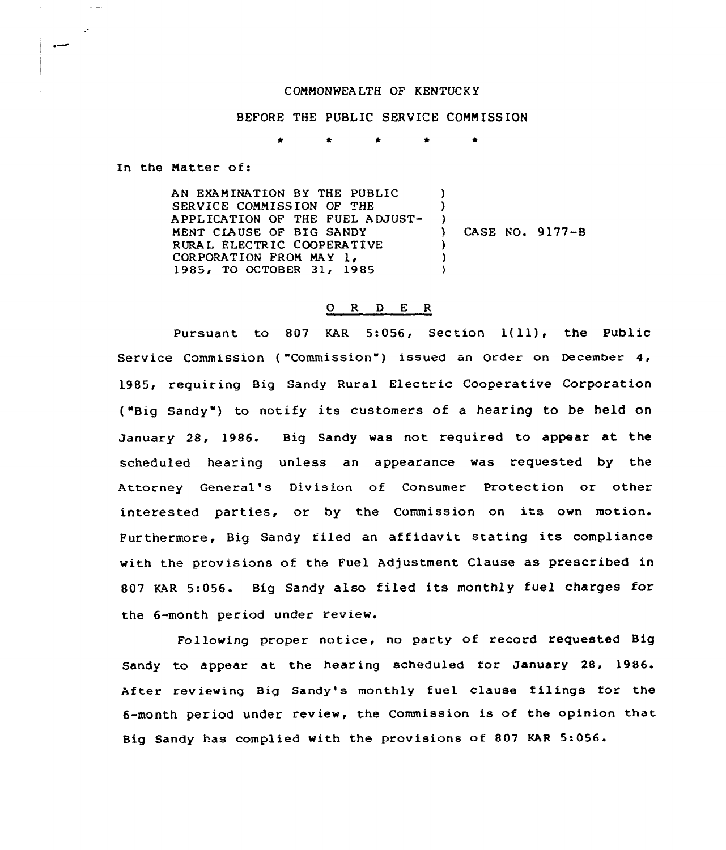## COMMONREA LTH OF KENTUCKY

BEFORE THE PUBLIC SERVICE COMMISSION

In the Matter of:

 $\sim$   $-$ 

 $\mathcal{L}$ 

AN EXAMINATION BY THE PUBLIC ) SERVICE COMMISSION OF THE  $\lambda$ APPLICATION OF THE FUEL ADJUST-) MENT CIAUSE OF BIG SANDY ) CASE NO. 9177-B RURAL ELECTRIC COOPERATIVE  $\lambda$ CORPORATION FROM MAY 1, ) 1985, TO OCTOBER 31, 1985  $\lambda$ 

## 0 R <sup>D</sup> E <sup>R</sup>

Pursuant to <sup>807</sup> KAR 5:056, Section 1(ll), the Public Service Commission ("Commission") issued an Order on December 4, 1985, requiring Big Sandy Rural Electric Cooperative Corporation ("Big Sandy") to notify its customers of a hearing to be held on January 28, 1986. Big Sandy was not required to appear at the scheduled hearing unless an appearance was requested by the Attorney General's Division of Consumer Protection or other interested parties, or by the Commission on its own motion. Furthermore, Big Sandy filed an affidavit stating its compliance with the provisions of the Fuel Adjustment Clause as prescribed in 807 KAR 5:056. Big Sandy also filed its monthly fuel charges for the 6-month period under review.

Following proper notice, no party of record requested Big Sandy to appear at the hearing scheduled for January 28, 1986. After reviewing Big Sandy's monthly fuel clause filings for the 6-month period under review, the Commission is of the opinion that Big Sandy has complied with the provisions of 807 KAR 5:056.